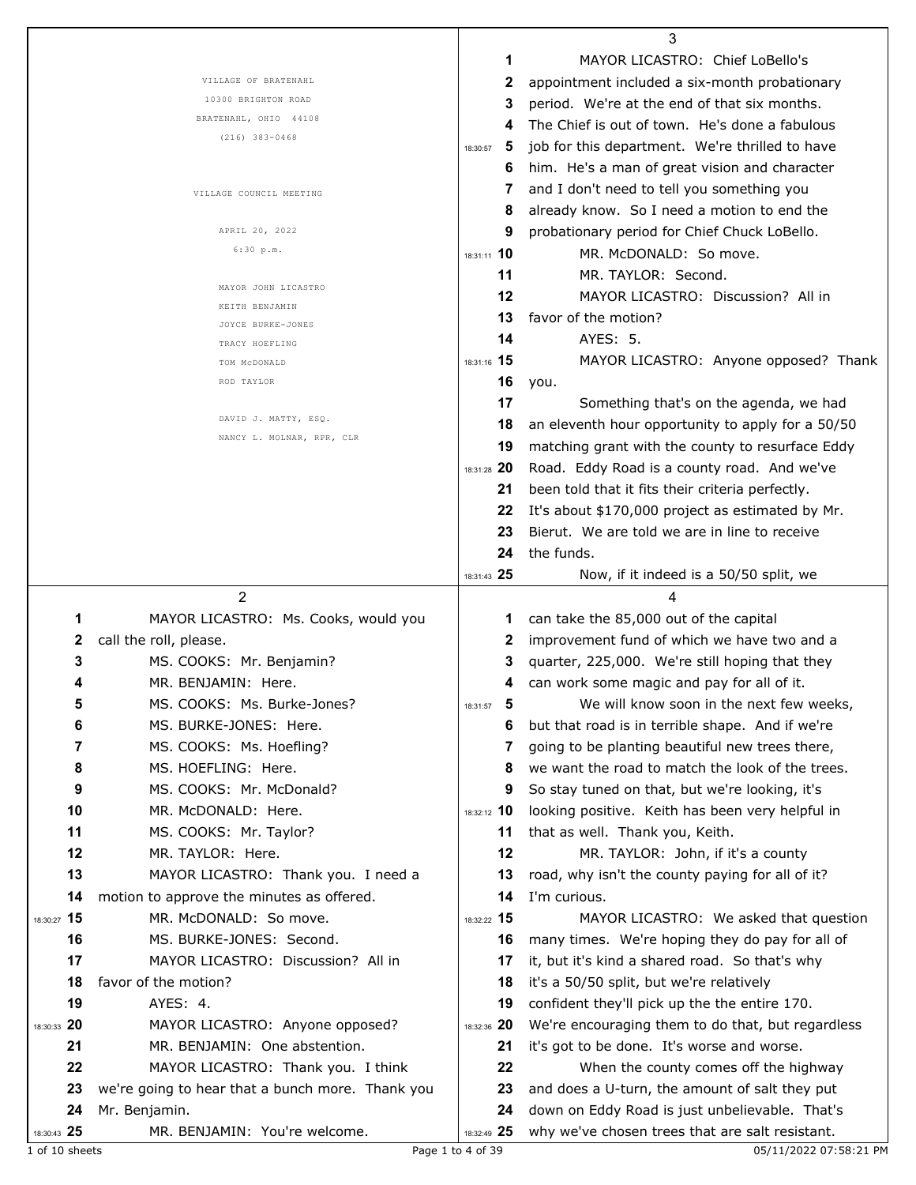|             |                                                  |               | 3                                                 |
|-------------|--------------------------------------------------|---------------|---------------------------------------------------|
|             |                                                  | 1             | MAYOR LICASTRO: Chief LoBello's                   |
|             | VILLAGE OF BRATENAHL                             | 2             | appointment included a six-month probationary     |
|             | 10300 BRIGHTON ROAD                              | 3             | period. We're at the end of that six months.      |
|             | BRATENAHL, OHIO 44108                            |               | The Chief is out of town. He's done a fabulous    |
|             | $(216)$ 383-0468                                 | 5<br>18:30:57 | job for this department. We're thrilled to have   |
|             |                                                  | 6             | him. He's a man of great vision and character     |
|             |                                                  |               | and I don't need to tell you something you        |
|             | VILLAGE COUNCIL MEETING                          |               |                                                   |
|             |                                                  | 8             | already know. So I need a motion to end the       |
|             | APRIL 20, 2022<br>6:30 p.m.                      | 9             | probationary period for Chief Chuck LoBello.      |
|             |                                                  | 18:31:11 10   | MR. McDONALD: So move.                            |
|             | MAYOR JOHN LICASTRO                              | 11            | MR. TAYLOR: Second.                               |
|             | KEITH BENJAMIN                                   | 12            | MAYOR LICASTRO: Discussion? All in                |
|             | JOYCE BURKE-JONES                                | 13            | favor of the motion?                              |
|             | TRACY HOEFLING                                   | 14            | AYES: 5.                                          |
|             | TOM MCDONALD                                     | 18:31:16 15   | MAYOR LICASTRO: Anyone opposed? Thank             |
|             | ROD TAYLOR                                       | 16            | you.                                              |
|             |                                                  | 17            | Something that's on the agenda, we had            |
|             | DAVID J. MATTY, ESQ.                             | 18            | an eleventh hour opportunity to apply for a 50/50 |
|             | NANCY L. MOLNAR, RPR, CLR                        | 19            | matching grant with the county to resurface Eddy  |
|             |                                                  | 18:31:28 20   | Road. Eddy Road is a county road. And we've       |
|             |                                                  | 21            | been told that it fits their criteria perfectly.  |
|             |                                                  | 22            | It's about \$170,000 project as estimated by Mr.  |
|             |                                                  | 23            | Bierut. We are told we are in line to receive     |
|             |                                                  |               |                                                   |
|             |                                                  | 24            | the funds.                                        |
|             |                                                  | 18:31:43 25   | Now, if it indeed is a 50/50 split, we            |
|             |                                                  |               |                                                   |
|             | 2                                                |               | 4                                                 |
| 1           | MAYOR LICASTRO: Ms. Cooks, would you             | 1             | can take the 85,000 out of the capital            |
| 2           | call the roll, please.                           | 2             | improvement fund of which we have two and a       |
| 3           | MS. COOKS: Mr. Benjamin?                         | 3             | quarter, 225,000. We're still hoping that they    |
|             | MR. BENJAMIN: Here.                              | 4             | can work some magic and pay for all of it.        |
|             | MS. COOKS: Ms. Burke-Jones?                      | 18:31:57      | We will know soon in the next few weeks,          |
| 6           | MS. BURKE-JONES: Here.                           | 6             | but that road is in terrible shape. And if we're  |
| 7           | MS. COOKS: Ms. Hoefling?                         | 7             | going to be planting beautiful new trees there,   |
| 8           | MS. HOEFLING: Here.                              | 8             | we want the road to match the look of the trees.  |
| 9           | MS. COOKS: Mr. McDonald?                         | 9             | So stay tuned on that, but we're looking, it's    |
| 10          | MR. McDONALD: Here.                              | 18:32:12 10   | looking positive. Keith has been very helpful in  |
| 11          | MS. COOKS: Mr. Taylor?                           | 11            | that as well. Thank you, Keith.                   |
| 12          | MR. TAYLOR: Here.                                | 12            |                                                   |
|             |                                                  | 13            | MR. TAYLOR: John, if it's a county                |
| 13          | MAYOR LICASTRO: Thank you. I need a              | 14            | road, why isn't the county paying for all of it?  |
| 14          | motion to approve the minutes as offered.        |               | I'm curious.                                      |
| 18:30:27 15 | MR. McDONALD: So move.                           | 18:32:22 15   | MAYOR LICASTRO: We asked that question            |
| 16          | MS. BURKE-JONES: Second.                         | 16            | many times. We're hoping they do pay for all of   |
| 17          | MAYOR LICASTRO: Discussion? All in               | 17            | it, but it's kind a shared road. So that's why    |
| 18          | favor of the motion?                             | 18            | it's a 50/50 split, but we're relatively          |
| 19          | AYES: 4.                                         | 19            | confident they'll pick up the the entire 170.     |
| 18:30:33 20 | MAYOR LICASTRO: Anyone opposed?                  | 18:32:36 20   | We're encouraging them to do that, but regardless |
| 21          | MR. BENJAMIN: One abstention.                    | 21            | it's got to be done. It's worse and worse.        |
| 22          | MAYOR LICASTRO: Thank you. I think               | 22            | When the county comes off the highway             |
| 23          | we're going to hear that a bunch more. Thank you | 23            | and does a U-turn, the amount of salt they put    |
| 24          | Mr. Benjamin.                                    | 24            | down on Eddy Road is just unbelievable. That's    |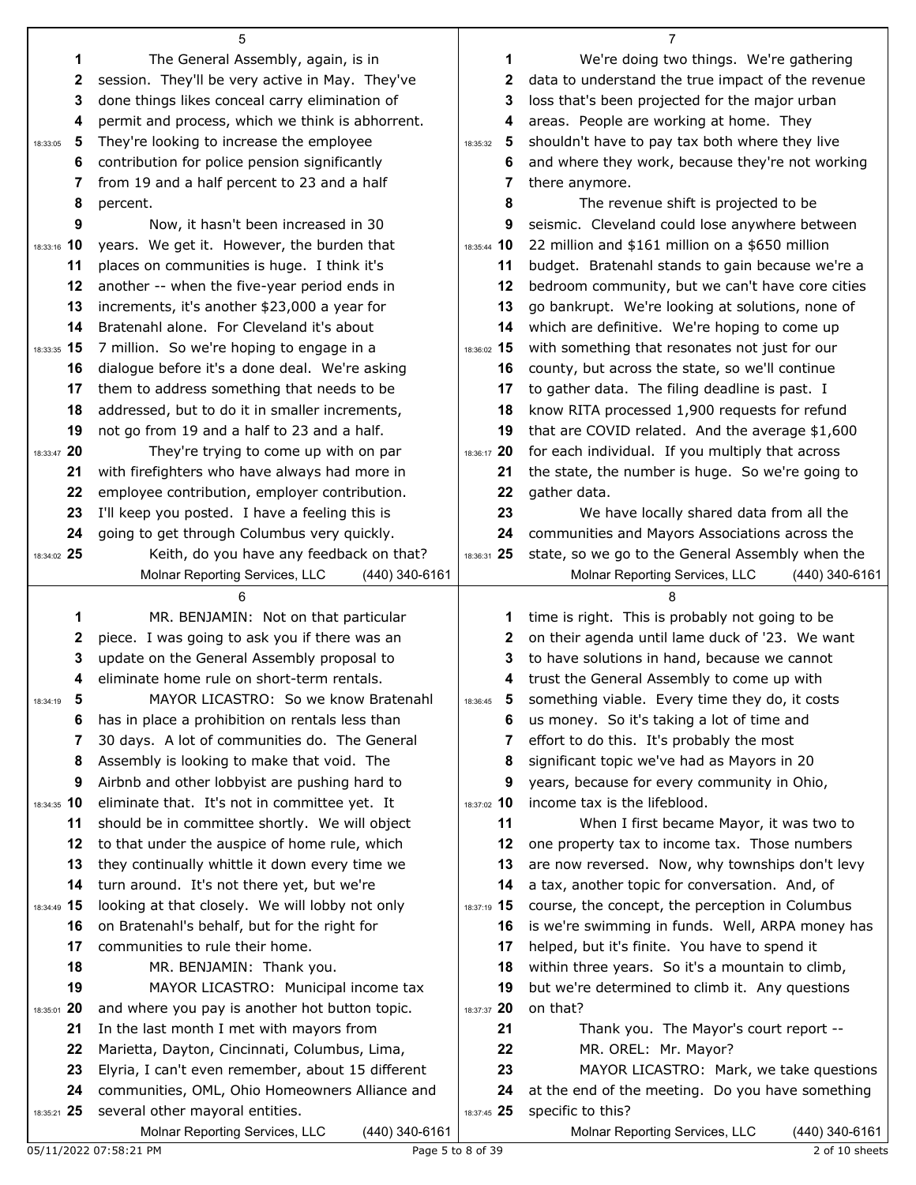|                   | 5                                                                                 |                   | 7                                                                     |
|-------------------|-----------------------------------------------------------------------------------|-------------------|-----------------------------------------------------------------------|
| 1                 | The General Assembly, again, is in                                                | 1                 | We're doing two things. We're gathering                               |
| 2                 | session. They'll be very active in May. They've                                   | 2                 | data to understand the true impact of the revenue                     |
| 3                 | done things likes conceal carry elimination of                                    | 3                 | loss that's been projected for the major urban                        |
| 4                 | permit and process, which we think is abhorrent.                                  | 4                 | areas. People are working at home. They                               |
| 5<br>18:33:05     | They're looking to increase the employee                                          | 5<br>18:35:32     | shouldn't have to pay tax both where they live                        |
| 6                 | contribution for police pension significantly                                     | 6                 | and where they work, because they're not working                      |
| 7                 | from 19 and a half percent to 23 and a half                                       | 7                 | there anymore.                                                        |
| 8                 | percent.                                                                          | 8                 | The revenue shift is projected to be                                  |
| 9                 | Now, it hasn't been increased in 30                                               | 9                 | seismic. Cleveland could lose anywhere between                        |
| 18:33:16 10       | years. We get it. However, the burden that                                        | 18:35:44 10       | 22 million and \$161 million on a \$650 million                       |
| 11                | places on communities is huge. I think it's                                       | 11                | budget. Bratenahl stands to gain because we're a                      |
| 12                | another -- when the five-year period ends in                                      | 12                | bedroom community, but we can't have core cities                      |
| 13                | increments, it's another \$23,000 a year for                                      | 13                | go bankrupt. We're looking at solutions, none of                      |
| 14                | Bratenahl alone. For Cleveland it's about                                         | 14                | which are definitive. We're hoping to come up                         |
| 18:33:35 15       | 7 million. So we're hoping to engage in a                                         | 18:36:02 15       | with something that resonates not just for our                        |
| 16                | dialogue before it's a done deal. We're asking                                    | 16                | county, but across the state, so we'll continue                       |
| 17                | them to address something that needs to be                                        | 17                | to gather data. The filing deadline is past. I                        |
| 18                | addressed, but to do it in smaller increments,                                    | 18                | know RITA processed 1,900 requests for refund                         |
| 19                | not go from 19 and a half to 23 and a half.                                       | 19                | that are COVID related. And the average \$1,600                       |
| 18:33:47 20       | They're trying to come up with on par                                             | 18:36:17 20       | for each individual. If you multiply that across                      |
| 21                | with firefighters who have always had more in                                     | 21                | the state, the number is huge. So we're going to                      |
| 22                | employee contribution, employer contribution.                                     | 22                | gather data.                                                          |
| 23                | I'll keep you posted. I have a feeling this is                                    | 23                | We have locally shared data from all the                              |
| 24                | going to get through Columbus very quickly.                                       | 24                | communities and Mayors Associations across the                        |
| 18:34:02 25       | Keith, do you have any feedback on that?                                          | 18:36:31 25       | state, so we go to the General Assembly when the                      |
|                   | Molnar Reporting Services, LLC<br>(440) 340-6161                                  |                   | Molnar Reporting Services, LLC<br>$(440)$ 340-6161                    |
|                   |                                                                                   |                   |                                                                       |
|                   | 6                                                                                 |                   |                                                                       |
| 1                 | MR. BENJAMIN: Not on that particular                                              | 1                 | time is right. This is probably not going to be                       |
| 2                 | piece. I was going to ask you if there was an                                     | 2                 | on their agenda until lame duck of '23. We want                       |
| 3                 | update on the General Assembly proposal to                                        | 3                 | to have solutions in hand, because we cannot                          |
| 4                 | eliminate home rule on short-term rentals.                                        |                   | trust the General Assembly to come up with                            |
| 5<br>18:34:19     | MAYOR LICASTRO: So we know Bratenahl                                              | 5<br>18:36:45     | something viable. Every time they do, it costs                        |
| 6                 | has in place a prohibition on rentals less than                                   | 6                 | us money. So it's taking a lot of time and                            |
| 7                 | 30 days. A lot of communities do. The General                                     | 7                 | effort to do this. It's probably the most                             |
| 8                 | Assembly is looking to make that void. The                                        | 8                 | significant topic we've had as Mayors in 20                           |
| 9                 | Airbnb and other lobbyist are pushing hard to                                     | 9                 | years, because for every community in Ohio,                           |
| 18:34:35 10       | eliminate that. It's not in committee yet. It                                     | 18:37:02 10       | income tax is the lifeblood.                                          |
| 11                | should be in committee shortly. We will object                                    | 11                | When I first became Mayor, it was two to                              |
| 12                | to that under the auspice of home rule, which                                     | 12                | one property tax to income tax. Those numbers                         |
| 13                | they continually whittle it down every time we                                    | 13                | are now reversed. Now, why townships don't levy                       |
| 14                | turn around. It's not there yet, but we're                                        | 14                | a tax, another topic for conversation. And, of                        |
| 18:34:49 15       | looking at that closely. We will lobby not only                                   | 18:37:19 15       | course, the concept, the perception in Columbus                       |
| 16                | on Bratenahl's behalf, but for the right for                                      | 16                | is we're swimming in funds. Well, ARPA money has                      |
| 17                | communities to rule their home.                                                   | 17                | helped, but it's finite. You have to spend it                         |
| 18                | MR. BENJAMIN: Thank you.                                                          | 18                | within three years. So it's a mountain to climb,                      |
| 19                | MAYOR LICASTRO: Municipal income tax                                              | 19                | but we're determined to climb it. Any questions                       |
| 18:35:01 20       | and where you pay is another hot button topic.                                    | 18:37:37 20       | on that?                                                              |
| 21                | In the last month I met with mayors from                                          | 21                | Thank you. The Mayor's court report --                                |
| 22                | Marietta, Dayton, Cincinnati, Columbus, Lima,                                     | 22                | MR. OREL: Mr. Mayor?                                                  |
| 23                | Elyria, I can't even remember, about 15 different                                 | 23                | MAYOR LICASTRO: Mark, we take questions                               |
| 24<br>18:35:21 25 | communities, OML, Ohio Homeowners Alliance and<br>several other mayoral entities. | 24<br>18:37:45 25 | at the end of the meeting. Do you have something<br>specific to this? |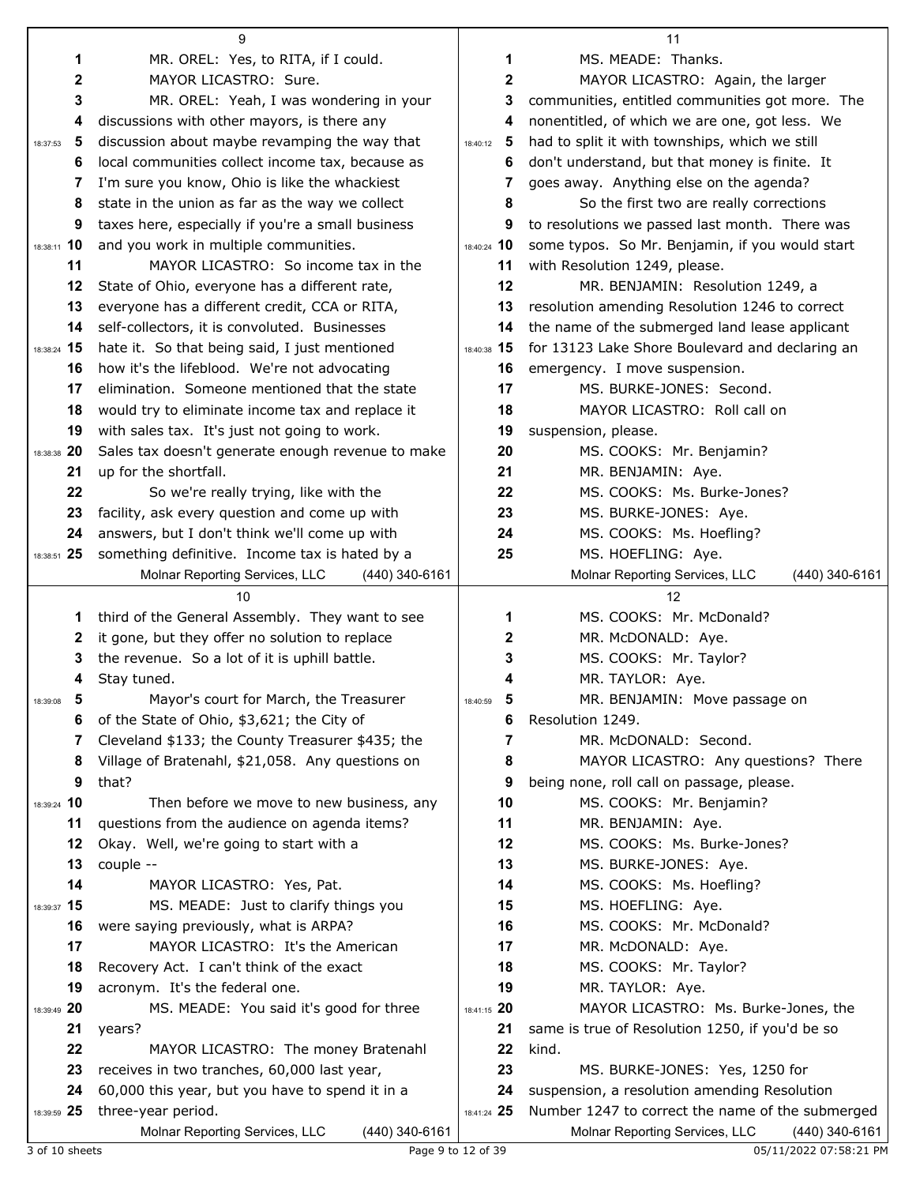| MS. MEADE: Thanks.<br>MR. OREL: Yes, to RITA, if I could.<br>1<br>1<br>2<br>MAYOR LICASTRO: Sure.<br>2<br>MAYOR LICASTRO: Again, the larger                         |                |
|---------------------------------------------------------------------------------------------------------------------------------------------------------------------|----------------|
|                                                                                                                                                                     |                |
|                                                                                                                                                                     |                |
| MR. OREL: Yeah, I was wondering in your<br>communities, entitled communities got more. The<br>3<br>3                                                                |                |
| discussions with other mayors, is there any<br>nonentitled, of which we are one, got less. We<br>4<br>4                                                             |                |
| discussion about maybe revamping the way that<br>had to split it with townships, which we still<br>5<br>- 5<br>18:37:53<br>18:40:12                                 |                |
| don't understand, but that money is finite. It<br>local communities collect income tax, because as<br>6<br>6                                                        |                |
| I'm sure you know, Ohio is like the whackiest<br>goes away. Anything else on the agenda?<br>7<br>7                                                                  |                |
| state in the union as far as the way we collect<br>8<br>So the first two are really corrections<br>8                                                                |                |
| taxes here, especially if you're a small business<br>to resolutions we passed last month. There was<br>9<br>9                                                       |                |
| 18:38:11 10<br>and you work in multiple communities.<br>some typos. So Mr. Benjamin, if you would start<br>18:40:24 10                                              |                |
| MAYOR LICASTRO: So income tax in the<br>11<br>with Resolution 1249, please.<br>11                                                                                   |                |
| 12<br>12<br>State of Ohio, everyone has a different rate,<br>MR. BENJAMIN: Resolution 1249, a                                                                       |                |
| 13<br>everyone has a different credit, CCA or RITA,<br>13<br>resolution amending Resolution 1246 to correct                                                         |                |
| 14<br>self-collectors, it is convoluted. Businesses<br>the name of the submerged land lease applicant<br>14                                                         |                |
| 18:38:24 15<br>hate it. So that being said, I just mentioned<br>for 13123 Lake Shore Boulevard and declaring an<br>18:40:38 15                                      |                |
| 16<br>how it's the lifeblood. We're not advocating<br>emergency. I move suspension.<br>16                                                                           |                |
| elimination. Someone mentioned that the state<br>17<br>17<br>MS. BURKE-JONES: Second.                                                                               |                |
| 18<br>18<br>would try to eliminate income tax and replace it<br>MAYOR LICASTRO: Roll call on                                                                        |                |
| 19<br>with sales tax. It's just not going to work.<br>19<br>suspension, please.                                                                                     |                |
| 18:38:38 20<br>Sales tax doesn't generate enough revenue to make<br>20<br>MS. COOKS: Mr. Benjamin?                                                                  |                |
| up for the shortfall.<br>21<br>MR. BENJAMIN: Aye.<br>21                                                                                                             |                |
| 22<br>22<br>So we're really trying, like with the<br>MS. COOKS: Ms. Burke-Jones?                                                                                    |                |
| 23<br>23<br>facility, ask every question and come up with<br>MS. BURKE-JONES: Aye.                                                                                  |                |
| answers, but I don't think we'll come up with<br>24<br>24<br>MS. COOKS: Ms. Hoefling?                                                                               |                |
| 18:38:51 25<br>something definitive. Income tax is hated by a<br>25<br>MS. HOEFLING: Aye.                                                                           |                |
| Molnar Reporting Services, LLC<br>Molnar Reporting Services, LLC<br>$(440)$ 340-6161                                                                                | (440) 340-6161 |
| 10<br>12                                                                                                                                                            |                |
| MS. COOKS: Mr. McDonald?<br>third of the General Assembly. They want to see<br>1<br>1                                                                               |                |
| it gone, but they offer no solution to replace<br>2<br>MR. McDONALD: Aye.<br>2<br>the revenue. So a lot of it is uphill battle.<br>3<br>MS. COOKS: Mr. Taylor?<br>3 |                |
| Stay tuned.<br>MR. TAYLOR: Aye.<br>4<br>4                                                                                                                           |                |
| MR. BENJAMIN: Move passage on<br>5<br>Mayor's court for March, the Treasurer<br>18:39:08<br>18:40:59<br>Ð                                                           |                |
| of the State of Ohio, \$3,621; the City of<br>6<br>Resolution 1249.<br>6                                                                                            |                |
| Cleveland \$133; the County Treasurer \$435; the<br>MR. McDONALD: Second.<br>7<br>7                                                                                 |                |
| Village of Bratenahl, \$21,058. Any questions on<br>8<br>MAYOR LICASTRO: Any questions? There<br>8                                                                  |                |
| that?<br>9<br>being none, roll call on passage, please.<br>9                                                                                                        |                |
| 18:39:24 10<br>10<br>MS. COOKS: Mr. Benjamin?<br>Then before we move to new business, any                                                                           |                |
| 11<br>questions from the audience on agenda items?<br>11<br>MR. BENJAMIN: Aye.                                                                                      |                |
| 12<br>12<br>Okay. Well, we're going to start with a<br>MS. COOKS: Ms. Burke-Jones?                                                                                  |                |
| 13<br>13<br>MS. BURKE-JONES: Aye.<br>couple --                                                                                                                      |                |
| 14<br>14<br>MS. COOKS: Ms. Hoefling?<br>MAYOR LICASTRO: Yes, Pat.                                                                                                   |                |
| 15<br>18:39:37 15<br>MS. MEADE: Just to clarify things you<br>MS. HOEFLING: Aye.                                                                                    |                |
| 16<br>were saying previously, what is ARPA?<br>16<br>MS. COOKS: Mr. McDonald?                                                                                       |                |
| 17<br>MAYOR LICASTRO: It's the American<br>17<br>MR. McDONALD: Aye.                                                                                                 |                |
| 18<br>18<br>MS. COOKS: Mr. Taylor?<br>Recovery Act. I can't think of the exact                                                                                      |                |
| 19<br>19<br>acronym. It's the federal one.<br>MR. TAYLOR: Aye.                                                                                                      |                |
| MS. MEADE: You said it's good for three<br>18:41:15 20<br>MAYOR LICASTRO: Ms. Burke-Jones, the<br>18:39:49 20                                                       |                |
| same is true of Resolution 1250, if you'd be so<br>21<br>years?<br>21                                                                                               |                |
| 22<br>22<br>MAYOR LICASTRO: The money Bratenahl<br>kind.                                                                                                            |                |
| 23<br>receives in two tranches, 60,000 last year,<br>23<br>MS. BURKE-JONES: Yes, 1250 for                                                                           |                |
| 24<br>60,000 this year, but you have to spend it in a<br>suspension, a resolution amending Resolution<br>24                                                         |                |
| 18:39:59 25<br>Number 1247 to correct the name of the submerged<br>three-year period.<br>18:41:24 25                                                                |                |
| Molnar Reporting Services, LLC<br>(440) 340-6161<br>Molnar Reporting Services, LLC<br>Page 9 to 12 of 39<br>05/11/2022 07:58:21 PM<br>3 of 10 sheets                | (440) 340-6161 |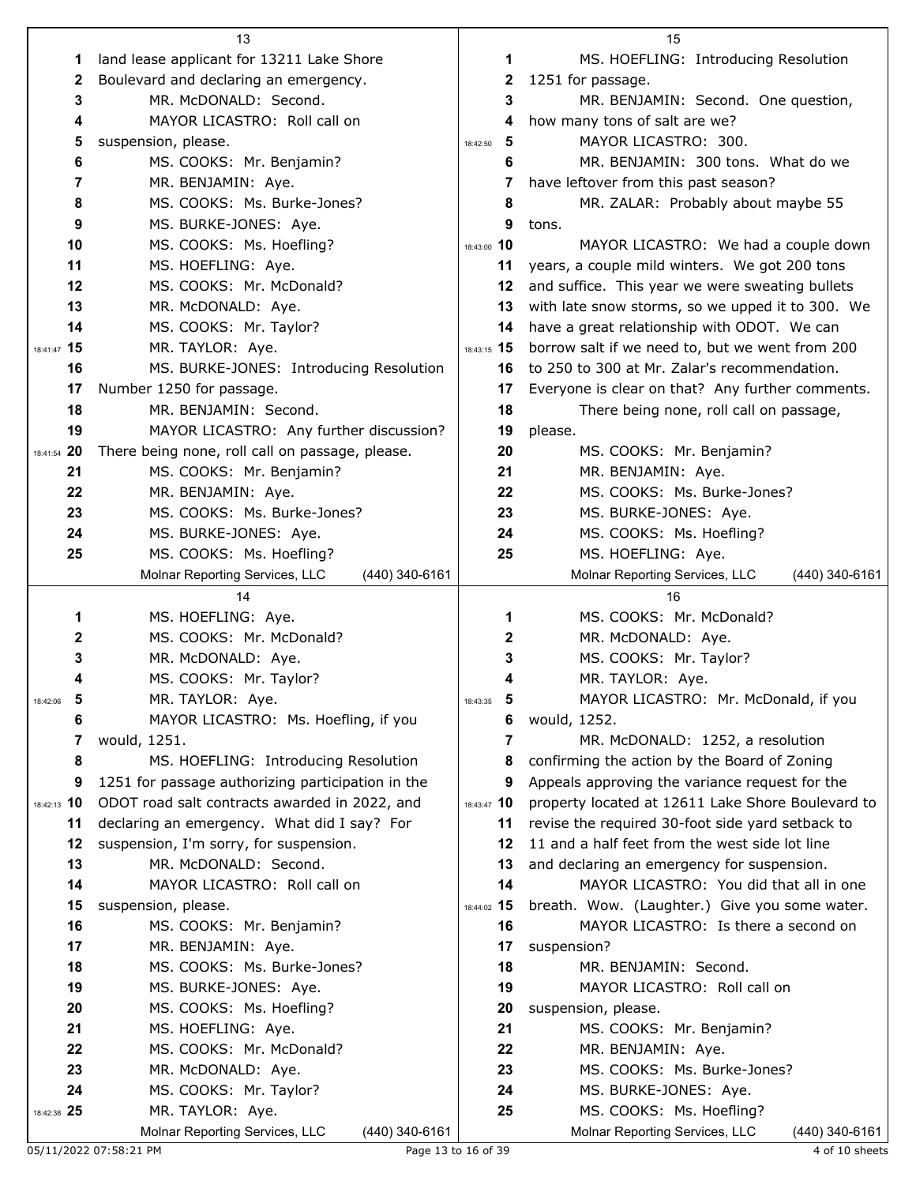|                | 13                                                |               | 15                                                |
|----------------|---------------------------------------------------|---------------|---------------------------------------------------|
| 1              | land lease applicant for 13211 Lake Shore         | 1             | MS. HOEFLING: Introducing Resolution              |
| 2              | Boulevard and declaring an emergency.             | 2             | 1251 for passage.                                 |
| 3              | MR. McDONALD: Second.                             | 3             | MR. BENJAMIN: Second. One question,               |
| 4              | MAYOR LICASTRO: Roll call on                      | 4             | how many tons of salt are we?                     |
| 5              | suspension, please.                               | 5<br>18:42:50 | MAYOR LICASTRO: 300.                              |
| 6              | MS. COOKS: Mr. Benjamin?                          | 6             | MR. BENJAMIN: 300 tons. What do we                |
| $\overline{7}$ | MR. BENJAMIN: Aye.                                | 7             | have leftover from this past season?              |
| 8              | MS. COOKS: Ms. Burke-Jones?                       | 8             | MR. ZALAR: Probably about maybe 55                |
| 9              | MS. BURKE-JONES: Aye.                             | 9             | tons.                                             |
| 10             | MS. COOKS: Ms. Hoefling?                          | 18:43:00 10   | MAYOR LICASTRO: We had a couple down              |
| 11             | MS. HOEFLING: Aye.                                | 11            | years, a couple mild winters. We got 200 tons     |
| 12             | MS. COOKS: Mr. McDonald?                          | 12            | and suffice. This year we were sweating bullets   |
| 13             | MR. McDONALD: Aye.                                | 13            | with late snow storms, so we upped it to 300. We  |
| 14             | MS. COOKS: Mr. Taylor?                            | 14            | have a great relationship with ODOT. We can       |
| 18:41:47 15    | MR. TAYLOR: Aye.                                  | 18:43:15 15   | borrow salt if we need to, but we went from 200   |
| 16             | MS. BURKE-JONES: Introducing Resolution           | 16            | to 250 to 300 at Mr. Zalar's recommendation.      |
|                |                                                   |               | Everyone is clear on that? Any further comments.  |
| 17<br>18       | Number 1250 for passage.<br>MR. BENJAMIN: Second. | 17<br>18      |                                                   |
|                |                                                   |               | There being none, roll call on passage,           |
| 19             | MAYOR LICASTRO: Any further discussion?           | 19            | please.                                           |
| 18:41:54 20    | There being none, roll call on passage, please.   | 20            | MS. COOKS: Mr. Benjamin?                          |
| 21             | MS. COOKS: Mr. Benjamin?                          | 21            | MR. BENJAMIN: Aye.                                |
| 22             | MR. BENJAMIN: Aye.                                | 22            | MS. COOKS: Ms. Burke-Jones?                       |
| 23             | MS. COOKS: Ms. Burke-Jones?                       | 23            | MS. BURKE-JONES: Aye.                             |
| 24             | MS. BURKE-JONES: Aye.                             | 24            | MS. COOKS: Ms. Hoefling?                          |
| 25             | MS. COOKS: Ms. Hoefling?                          | 25            | MS. HOEFLING: Aye.                                |
|                | (440) 340-6161<br>Molnar Reporting Services, LLC  |               | Molnar Reporting Services, LLC<br>(440) 340-6161  |
|                |                                                   |               |                                                   |
|                | 14                                                |               | 16                                                |
| 1              | MS. HOEFLING: Aye.                                | 1             | MS. COOKS: Mr. McDonald?                          |
| 2              | MS. COOKS: Mr. McDonald?                          | 2             | MR. McDONALD: Aye.                                |
| 3              | MR. McDONALD: Aye.                                | 3             | MS. COOKS: Mr. Taylor?                            |
| 4              | MS. COOKS: Mr. Taylor?                            | 4             | MR. TAYLOR: Aye.                                  |
| 5<br>18:42:06  | MR. TAYLOR: Aye.                                  | 5<br>18:43:35 | MAYOR LICASTRO: Mr. McDonald, if you              |
| 6              | MAYOR LICASTRO: Ms. Hoefling, if you              | 6             | would, 1252.                                      |
| 7              | would, 1251.                                      | 7             | MR. McDONALD: 1252, a resolution                  |
| 8              | MS. HOEFLING: Introducing Resolution              | 8             | confirming the action by the Board of Zoning      |
| 9              | 1251 for passage authorizing participation in the | 9             | Appeals approving the variance request for the    |
| 18:42:13 10    | ODOT road salt contracts awarded in 2022, and     | 18:43:47 10   | property located at 12611 Lake Shore Boulevard to |
| 11             | declaring an emergency. What did I say? For       | 11            | revise the required 30-foot side yard setback to  |
| 12             | suspension, I'm sorry, for suspension.            | 12            | 11 and a half feet from the west side lot line    |
| 13             | MR. McDONALD: Second.                             | 13            | and declaring an emergency for suspension.        |
| 14             | MAYOR LICASTRO: Roll call on                      | 14            | MAYOR LICASTRO: You did that all in one           |
| 15             | suspension, please.                               | 18:44:02 15   | breath. Wow. (Laughter.) Give you some water.     |
| 16             | MS. COOKS: Mr. Benjamin?                          | 16            | MAYOR LICASTRO: Is there a second on              |
| 17             | MR. BENJAMIN: Aye.                                | 17            | suspension?                                       |
| 18             | MS. COOKS: Ms. Burke-Jones?                       | 18            | MR. BENJAMIN: Second.                             |
| 19             | MS. BURKE-JONES: Aye.                             | 19            | MAYOR LICASTRO: Roll call on                      |
| 20             | MS. COOKS: Ms. Hoefling?                          | 20            | suspension, please.                               |
| 21             | MS. HOEFLING: Aye.                                | 21            | MS. COOKS: Mr. Benjamin?                          |
| 22             | MS. COOKS: Mr. McDonald?                          | 22            | MR. BENJAMIN: Aye.                                |
| 23             | MR. McDONALD: Aye.                                | 23            | MS. COOKS: Ms. Burke-Jones?                       |
| 24             | MS. COOKS: Mr. Taylor?                            | 24            | MS. BURKE-JONES: Aye.                             |
| 18:42:38 25    | MR. TAYLOR: Aye.                                  | 25            | MS. COOKS: Ms. Hoefling?                          |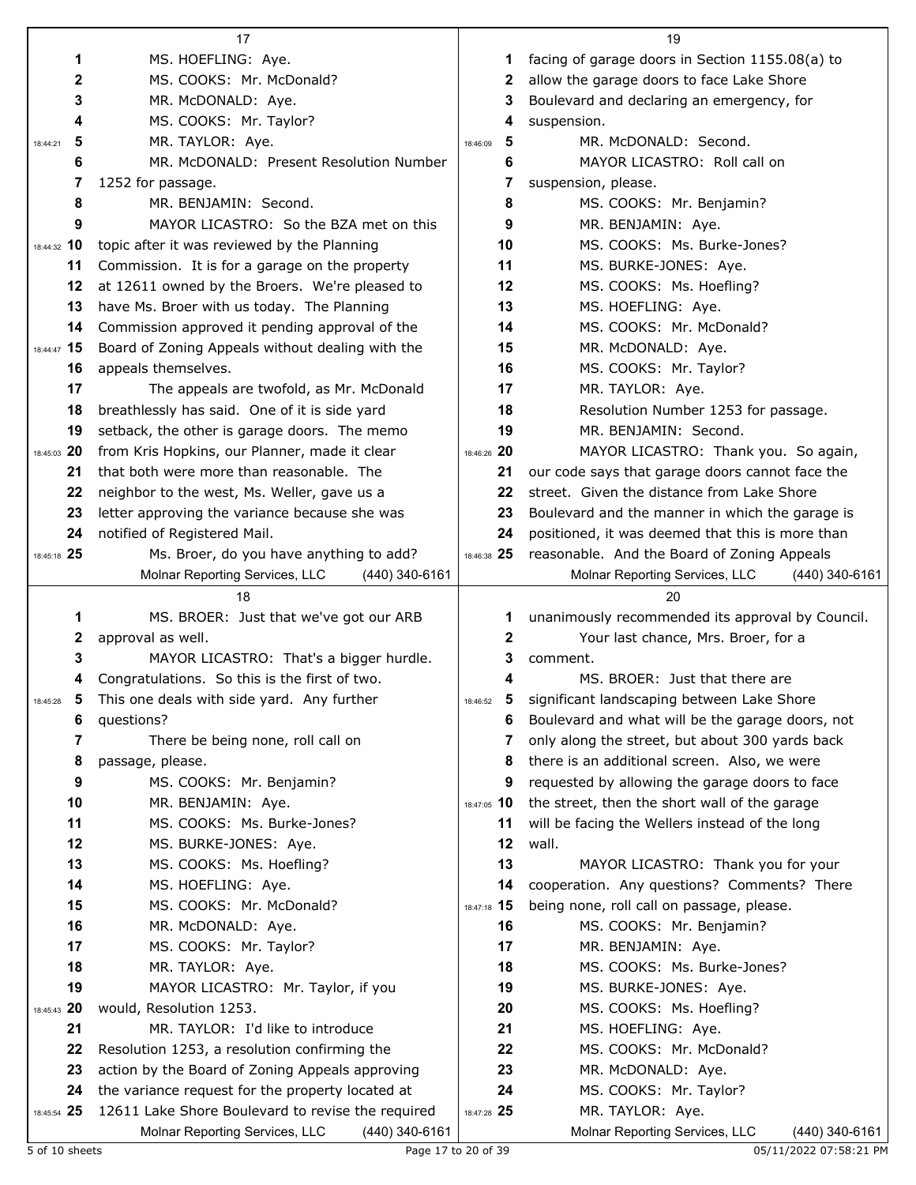|                   | 17                                                                                                    |                                     | 19                                                 |
|-------------------|-------------------------------------------------------------------------------------------------------|-------------------------------------|----------------------------------------------------|
| 1                 | MS. HOEFLING: Aye.                                                                                    | 1.                                  | facing of garage doors in Section 1155.08(a) to    |
| 2                 | MS. COOKS: Mr. McDonald?                                                                              | 2                                   | allow the garage doors to face Lake Shore          |
| 3                 | MR. McDONALD: Aye.                                                                                    | 3                                   | Boulevard and declaring an emergency, for          |
| 4                 | MS. COOKS: Mr. Taylor?                                                                                | 4                                   | suspension.                                        |
| 5<br>18:44:21     | MR. TAYLOR: Aye.                                                                                      | 5<br>18:46:09                       | MR. McDONALD: Second.                              |
| 6                 | MR. McDONALD: Present Resolution Number                                                               | 6                                   | MAYOR LICASTRO: Roll call on                       |
| 7                 | 1252 for passage.                                                                                     | 7                                   | suspension, please.                                |
| 8                 | MR. BENJAMIN: Second.                                                                                 | 8                                   | MS. COOKS: Mr. Benjamin?                           |
| 9                 | MAYOR LICASTRO: So the BZA met on this                                                                | 9                                   | MR. BENJAMIN: Aye.                                 |
| 18:44:32 10       | topic after it was reviewed by the Planning                                                           | 10                                  | MS. COOKS: Ms. Burke-Jones?                        |
| 11                | Commission. It is for a garage on the property                                                        | 11                                  | MS. BURKE-JONES: Aye.                              |
| 12                | at 12611 owned by the Broers. We're pleased to                                                        | 12                                  | MS. COOKS: Ms. Hoefling?                           |
| 13                | have Ms. Broer with us today. The Planning                                                            | 13                                  | MS. HOEFLING: Aye.                                 |
| 14                | Commission approved it pending approval of the                                                        | 14                                  | MS. COOKS: Mr. McDonald?                           |
| 18:44:47 15       | Board of Zoning Appeals without dealing with the                                                      | 15                                  | MR. McDONALD: Aye.                                 |
| 16                | appeals themselves.                                                                                   | 16                                  | MS. COOKS: Mr. Taylor?                             |
| 17                | The appeals are twofold, as Mr. McDonald                                                              | 17                                  | MR. TAYLOR: Aye.                                   |
| 18                | breathlessly has said. One of it is side yard                                                         | 18                                  | Resolution Number 1253 for passage.                |
| 19                | setback, the other is garage doors. The memo                                                          | 19                                  | MR. BENJAMIN: Second.                              |
| 18:45:03 20       | from Kris Hopkins, our Planner, made it clear                                                         | 18:46:26 20                         | MAYOR LICASTRO: Thank you. So again,               |
| 21                | that both were more than reasonable. The                                                              | 21                                  | our code says that garage doors cannot face the    |
| 22                | neighbor to the west, Ms. Weller, gave us a                                                           | 22                                  | street. Given the distance from Lake Shore         |
| 23                | letter approving the variance because she was                                                         | 23                                  | Boulevard and the manner in which the garage is    |
| 24                | notified of Registered Mail.                                                                          | 24                                  | positioned, it was deemed that this is more than   |
| 18:45:18 25       | Ms. Broer, do you have anything to add?                                                               | 18:46:38 25                         | reasonable. And the Board of Zoning Appeals        |
|                   | Molnar Reporting Services, LLC<br>(440) 340-6161                                                      |                                     | Molnar Reporting Services, LLC<br>$(440)$ 340-6161 |
|                   |                                                                                                       |                                     |                                                    |
|                   | 18                                                                                                    |                                     | 20                                                 |
| 1                 | MS. BROER: Just that we've got our ARB                                                                | 1                                   | unanimously recommended its approval by Council.   |
| 2                 | approval as well.                                                                                     | 2                                   | Your last chance, Mrs. Broer, for a                |
| 3                 | MAYOR LICASTRO: That's a bigger hurdle.                                                               | 3                                   | comment.                                           |
| 4                 | Congratulations. So this is the first of two.                                                         | 4                                   | MS. BROER: Just that there are                     |
| 5<br>18:45:28     | This one deals with side yard. Any further                                                            | $\overline{\mathbf{5}}$<br>18:46:52 | significant landscaping between Lake Shore         |
| 6                 | questions?                                                                                            | 6                                   | Boulevard and what will be the garage doors, not   |
| 7                 | There be being none, roll call on                                                                     | 7                                   | only along the street, but about 300 yards back    |
| 8                 | passage, please.                                                                                      | 8                                   | there is an additional screen. Also, we were       |
| 9                 | MS. COOKS: Mr. Benjamin?                                                                              | 9                                   | requested by allowing the garage doors to face     |
| 10                | MR. BENJAMIN: Aye.                                                                                    | 18:47:05 10                         | the street, then the short wall of the garage      |
| 11                | MS. COOKS: Ms. Burke-Jones?                                                                           | 11                                  | will be facing the Wellers instead of the long     |
| 12                | MS. BURKE-JONES: Aye.                                                                                 | 12                                  | wall.                                              |
| 13                | MS. COOKS: Ms. Hoefling?                                                                              | 13                                  | MAYOR LICASTRO: Thank you for your                 |
| 14                | MS. HOEFLING: Aye.                                                                                    | 14                                  | cooperation. Any questions? Comments? There        |
| 15                | MS. COOKS: Mr. McDonald?                                                                              | 18:47:18 15                         | being none, roll call on passage, please.          |
| 16                | MR. McDONALD: Aye.                                                                                    | 16                                  | MS. COOKS: Mr. Benjamin?                           |
| 17                | MS. COOKS: Mr. Taylor?                                                                                | 17                                  | MR. BENJAMIN: Aye.                                 |
| 18                | MR. TAYLOR: Aye.                                                                                      | 18                                  | MS. COOKS: Ms. Burke-Jones?                        |
| 19                | MAYOR LICASTRO: Mr. Taylor, if you                                                                    | 19                                  | MS. BURKE-JONES: Aye.                              |
| 18:45:43 20       | would, Resolution 1253.                                                                               | 20                                  | MS. COOKS: Ms. Hoefling?                           |
| 21                | MR. TAYLOR: I'd like to introduce                                                                     | 21                                  | MS. HOEFLING: Aye.                                 |
| 22                | Resolution 1253, a resolution confirming the                                                          | 22                                  | MS. COOKS: Mr. McDonald?                           |
| 23                | action by the Board of Zoning Appeals approving                                                       | 23                                  | MR. McDONALD: Aye.                                 |
| 24<br>18:45:54 25 | the variance request for the property located at<br>12611 Lake Shore Boulevard to revise the required | 24<br>18:47:28 25                   | MS. COOKS: Mr. Taylor?<br>MR. TAYLOR: Aye.         |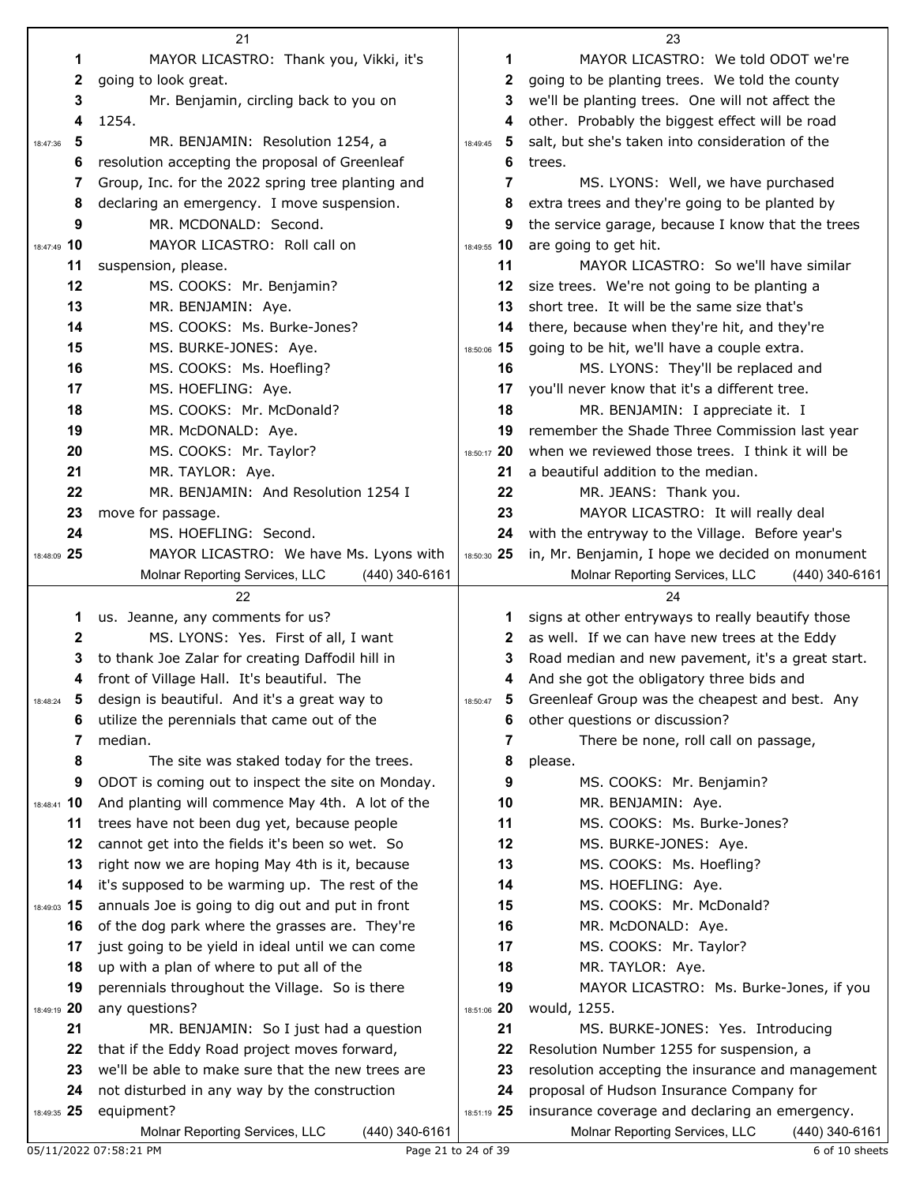|               | 21                                                 |               | 23                                                 |
|---------------|----------------------------------------------------|---------------|----------------------------------------------------|
| 1             | MAYOR LICASTRO: Thank you, Vikki, it's             | 1             | MAYOR LICASTRO: We told ODOT we're                 |
| 2             | going to look great.                               | 2             | going to be planting trees. We told the county     |
| 3             | Mr. Benjamin, circling back to you on              | 3             | we'll be planting trees. One will not affect the   |
| 4             | 1254.                                              | 4             | other. Probably the biggest effect will be road    |
| 5<br>18:47:36 | MR. BENJAMIN: Resolution 1254, a                   | 5<br>18:49:45 | salt, but she's taken into consideration of the    |
| 6             | resolution accepting the proposal of Greenleaf     | 6             | trees.                                             |
| 7             | Group, Inc. for the 2022 spring tree planting and  | 7             | MS. LYONS: Well, we have purchased                 |
| 8             | declaring an emergency. I move suspension.         | 8             | extra trees and they're going to be planted by     |
| 9             | MR. MCDONALD: Second.                              | 9             | the service garage, because I know that the trees  |
| 18:47:49 10   | MAYOR LICASTRO: Roll call on                       | 18:49:55 10   | are going to get hit.                              |
| 11            | suspension, please.                                | 11            | MAYOR LICASTRO: So we'll have similar              |
| 12            | MS. COOKS: Mr. Benjamin?                           | 12            | size trees. We're not going to be planting a       |
| 13            | MR. BENJAMIN: Aye.                                 | 13            | short tree. It will be the same size that's        |
| 14            | MS. COOKS: Ms. Burke-Jones?                        |               |                                                    |
|               |                                                    | 14            | there, because when they're hit, and they're       |
| 15            | MS. BURKE-JONES: Aye.                              | 18:50:06 15   | going to be hit, we'll have a couple extra.        |
| 16            | MS. COOKS: Ms. Hoefling?                           | 16            | MS. LYONS: They'll be replaced and                 |
| 17            | MS. HOEFLING: Aye.                                 | 17            | you'll never know that it's a different tree.      |
| 18            | MS. COOKS: Mr. McDonald?                           | 18            | MR. BENJAMIN: I appreciate it. I                   |
| 19            | MR. McDONALD: Aye.                                 | 19            | remember the Shade Three Commission last year      |
| 20            | MS. COOKS: Mr. Taylor?                             | 18:50:17 20   | when we reviewed those trees. I think it will be   |
| 21            | MR. TAYLOR: Aye.                                   | 21            | a beautiful addition to the median.                |
| 22            | MR. BENJAMIN: And Resolution 1254 I                | 22            | MR. JEANS: Thank you.                              |
| 23            | move for passage.                                  | 23            | MAYOR LICASTRO: It will really deal                |
| 24            | MS. HOEFLING: Second.                              | 24            | with the entryway to the Village. Before year's    |
| 18:48:09 25   | MAYOR LICASTRO: We have Ms. Lyons with             | 18:50:30 25   | in, Mr. Benjamin, I hope we decided on monument    |
|               | Molnar Reporting Services, LLC<br>$(440)$ 340-6161 |               | Molnar Reporting Services, LLC<br>$(440)$ 340-6161 |
|               | 22                                                 |               | 24                                                 |
| 1             | us. Jeanne, any comments for us?                   | 1             | signs at other entryways to really beautify those  |
| 2             | MS. LYONS: Yes. First of all, I want               | 2             | as well. If we can have new trees at the Eddy      |
| 3             | to thank Joe Zalar for creating Daffodil hill in   | 3             | Road median and new pavement, it's a great start.  |
| 4             | front of Village Hall. It's beautiful. The         | 4             | And she got the obligatory three bids and          |
| $18:48:24$ 5  | design is beautiful. And it's a great way to       | 5<br>18:50:47 | Greenleaf Group was the cheapest and best. Any     |
| 6             | utilize the perennials that came out of the        | 6             | other questions or discussion?                     |
| 7             | median.                                            | 7             | There be none, roll call on passage,               |
| 8             | The site was staked today for the trees.           | 8             | please.                                            |
| 9             | ODOT is coming out to inspect the site on Monday.  | 9             | MS. COOKS: Mr. Benjamin?                           |
| 18:48:41 10   | And planting will commence May 4th. A lot of the   | 10            | MR. BENJAMIN: Aye.                                 |
| 11            | trees have not been dug yet, because people        | 11            | MS. COOKS: Ms. Burke-Jones?                        |
| 12            | cannot get into the fields it's been so wet. So    | 12            | MS. BURKE-JONES: Aye.                              |
| 13            |                                                    | 13            | MS. COOKS: Ms. Hoefling?                           |
|               | right now we are hoping May 4th is it, because     |               |                                                    |
| 14            | it's supposed to be warming up. The rest of the    | 14            | MS. HOEFLING: Aye.                                 |
| 18:49:03 15   | annuals Joe is going to dig out and put in front   | 15            | MS. COOKS: Mr. McDonald?                           |
| 16            | of the dog park where the grasses are. They're     | 16            | MR. McDONALD: Aye.                                 |
| 17            | just going to be yield in ideal until we can come  | 17            | MS. COOKS: Mr. Taylor?                             |
| 18            | up with a plan of where to put all of the          | 18            | MR. TAYLOR: Aye.                                   |
| 19            | perennials throughout the Village. So is there     | 19            | MAYOR LICASTRO: Ms. Burke-Jones, if you            |
| 18:49:19 20   | any questions?                                     | 18:51:06 20   | would, 1255.                                       |
| 21            | MR. BENJAMIN: So I just had a question             | 21            | MS. BURKE-JONES: Yes. Introducing                  |
| 22            | that if the Eddy Road project moves forward,       | 22            | Resolution Number 1255 for suspension, a           |
| 23            | we'll be able to make sure that the new trees are  | 23            | resolution accepting the insurance and management  |
| 24            | not disturbed in any way by the construction       | 24            | proposal of Hudson Insurance Company for           |
| 18:49:35 25   | equipment?                                         | 18:51:19 25   | insurance coverage and declaring an emergency.     |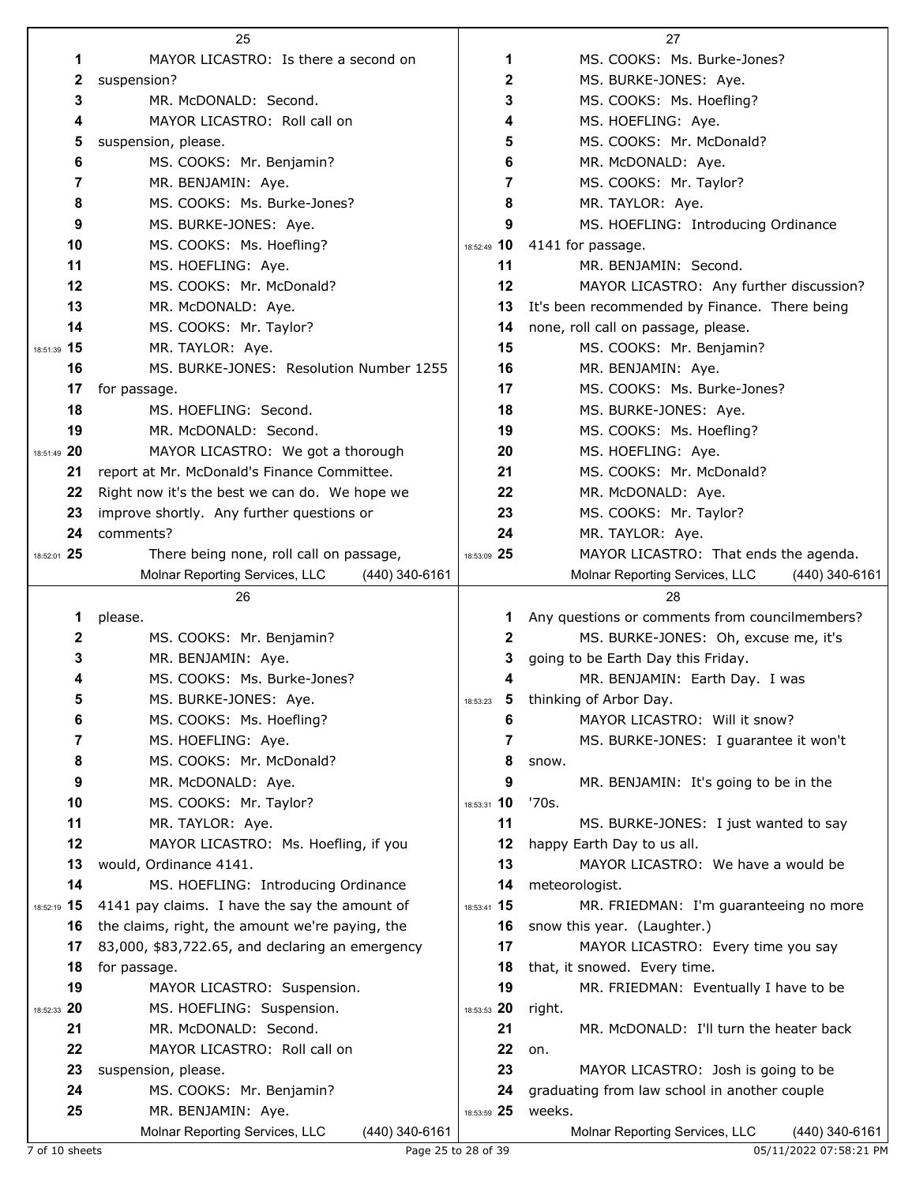|             | 25                                               |                | 27                                                     |
|-------------|--------------------------------------------------|----------------|--------------------------------------------------------|
| 1           | MAYOR LICASTRO: Is there a second on             | 1              | MS. COOKS: Ms. Burke-Jones?                            |
| 2           | suspension?                                      | 2              | MS. BURKE-JONES: Aye.                                  |
| 3           | MR. McDONALD: Second.                            | 3              | MS. COOKS: Ms. Hoefling?                               |
| 4           | MAYOR LICASTRO: Roll call on                     | 4              | MS. HOEFLING: Aye.                                     |
| 5           | suspension, please.                              | 5              | MS. COOKS: Mr. McDonald?                               |
| 6           | MS. COOKS: Mr. Benjamin?                         | 6              | MR. McDONALD: Aye.                                     |
| 7           | MR. BENJAMIN: Aye.                               | 7              | MS. COOKS: Mr. Taylor?                                 |
| 8           | MS. COOKS: Ms. Burke-Jones?                      | 8              | MR. TAYLOR: Aye.                                       |
| 9           | MS. BURKE-JONES: Aye.                            | 9              | MS. HOEFLING: Introducing Ordinance                    |
| 10          | MS. COOKS: Ms. Hoefling?                         | 18:52:49 10    | 4141 for passage.                                      |
| 11          | MS. HOEFLING: Aye.                               | 11             | MR. BENJAMIN: Second.                                  |
| 12          | MS. COOKS: Mr. McDonald?                         | 12             | MAYOR LICASTRO: Any further discussion?                |
| 13          | MR. McDONALD: Aye.                               | 13             | It's been recommended by Finance. There being          |
| 14          | MS. COOKS: Mr. Taylor?                           | 14             | none, roll call on passage, please.                    |
| 18:51:39 15 | MR. TAYLOR: Aye.                                 | 15             | MS. COOKS: Mr. Benjamin?                               |
| 16          | MS. BURKE-JONES: Resolution Number 1255          | 16             | MR. BENJAMIN: Aye.                                     |
| 17          | for passage.                                     | 17             | MS. COOKS: Ms. Burke-Jones?                            |
| 18          | MS. HOEFLING: Second.                            | 18             | MS. BURKE-JONES: Aye.                                  |
| 19          | MR. McDONALD: Second.                            | 19             | MS. COOKS: Ms. Hoefling?                               |
| 18:51:49 20 | MAYOR LICASTRO: We got a thorough                | 20             | MS. HOEFLING: Aye.                                     |
| 21          | report at Mr. McDonald's Finance Committee.      | 21             | MS. COOKS: Mr. McDonald?                               |
| 22          | Right now it's the best we can do. We hope we    | 22             | MR. McDONALD: Aye.                                     |
| 23          | improve shortly. Any further questions or        | 23             | MS. COOKS: Mr. Taylor?                                 |
| 24          | comments?                                        | 24             | MR. TAYLOR: Aye.                                       |
| 18:52:01 25 | There being none, roll call on passage,          | 18:53:09 25    | MAYOR LICASTRO: That ends the agenda.                  |
|             | Molnar Reporting Services, LLC<br>(440) 340-6161 |                | Molnar Reporting Services, LLC<br>$(440)$ 340-6161     |
|             |                                                  |                |                                                        |
|             | 26                                               |                | 28                                                     |
| 1           | please.                                          | 1              | Any questions or comments from councilmembers?         |
| 2           | MS. COOKS: Mr. Benjamin?                         | 2              | MS. BURKE-JONES: Oh, excuse me, it's                   |
| 3           | MR. BENJAMIN: Aye.                               | 3              | going to be Earth Day this Friday.                     |
| 4           | MS. COOKS: Ms. Burke-Jones?                      | 4              | MR. BENJAMIN: Earth Day. I was                         |
| 5           | MS. BURKE-JONES: Aye.                            | 18:53:23       | thinking of Arbor Day.                                 |
| 6           | MS. COOKS: Ms. Hoefling?                         | 6              | MAYOR LICASTRO: Will it snow?                          |
| 7           | MS. HOEFLING: Aye.                               | 7              | MS. BURKE-JONES: I guarantee it won't                  |
| 8           | MS. COOKS: Mr. McDonald?                         | 8              | snow.                                                  |
| 9           | MR. McDONALD: Aye.                               | 9              | MR. BENJAMIN: It's going to be in the                  |
| 10          | MS. COOKS: Mr. Taylor?                           | 10<br>18:53:31 | '70s.                                                  |
| 11          | MR. TAYLOR: Aye.                                 | 11             | MS. BURKE-JONES: I just wanted to say                  |
| 12          | MAYOR LICASTRO: Ms. Hoefling, if you             | 12             | happy Earth Day to us all.                             |
| 13          | would, Ordinance 4141.                           | 13             | MAYOR LICASTRO: We have a would be                     |
| 14          | MS. HOEFLING: Introducing Ordinance              | 14             | meteorologist.                                         |
| 18:52:19 15 | 4141 pay claims. I have the say the amount of    | 18:53:41 15    | MR. FRIEDMAN: I'm guaranteeing no more                 |
| 16          | the claims, right, the amount we're paying, the  | 16             | snow this year. (Laughter.)                            |
| 17          | 83,000, \$83,722.65, and declaring an emergency  | 17             | MAYOR LICASTRO: Every time you say                     |
| 18          | for passage.                                     | 18             | that, it snowed. Every time.                           |
| 19          | MAYOR LICASTRO: Suspension.                      | 19             | MR. FRIEDMAN: Eventually I have to be                  |
| 18:52:33 20 | MS. HOEFLING: Suspension.                        | 18:53:53 20    | right.                                                 |
| 21          | MR. McDONALD: Second.                            | 21             | MR. McDONALD: I'll turn the heater back                |
| 22          | MAYOR LICASTRO: Roll call on                     | 22             | on.                                                    |
| 23          | suspension, please.                              | 23<br>24       | MAYOR LICASTRO: Josh is going to be                    |
| 24<br>25    | MS. COOKS: Mr. Benjamin?<br>MR. BENJAMIN: Aye.   | 18:53:59 25    | graduating from law school in another couple<br>weeks. |

7 of 10 sheets Page 25 to 28 of 39 05/11/2022 07:58:21 PM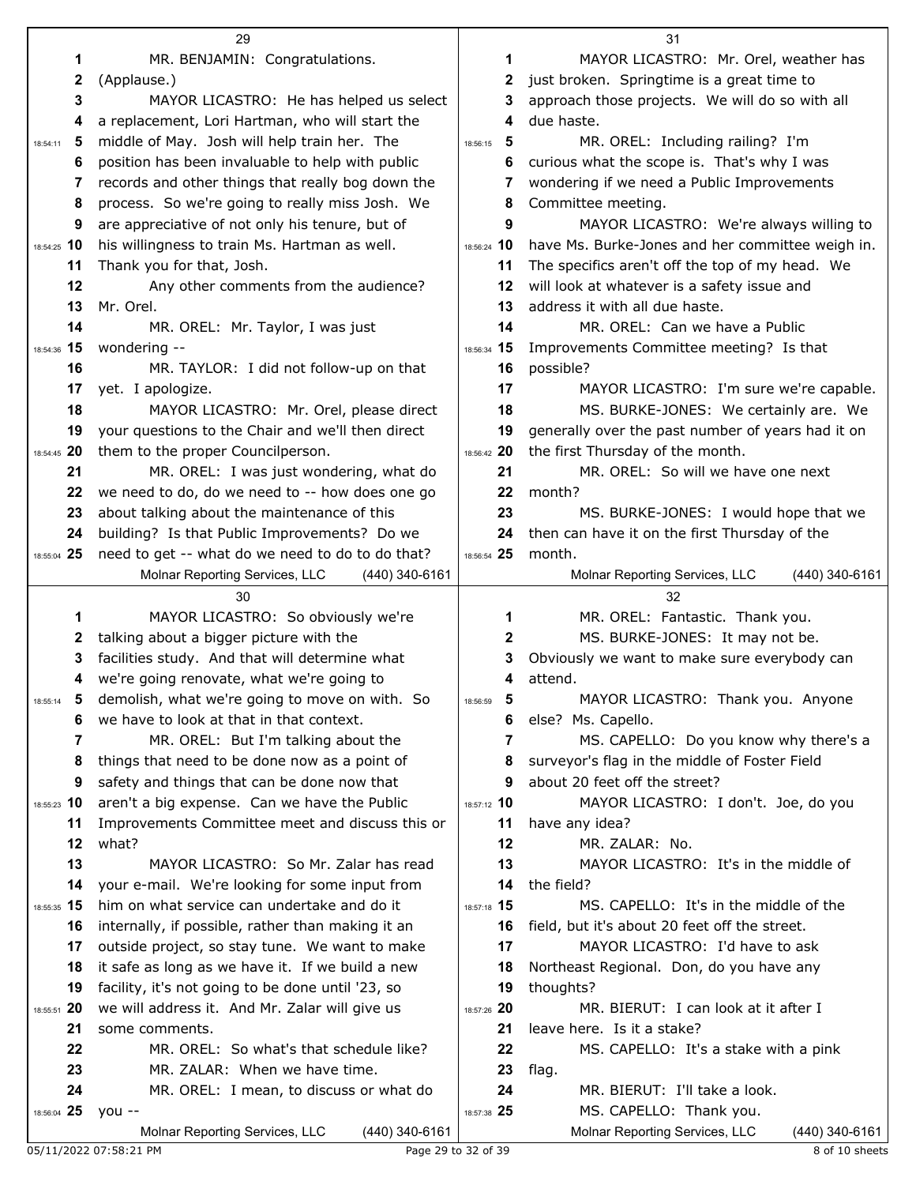|                   | 29                                                                                            |               | 31                                                                          |
|-------------------|-----------------------------------------------------------------------------------------------|---------------|-----------------------------------------------------------------------------|
| 1                 | MR. BENJAMIN: Congratulations.                                                                | 1             | MAYOR LICASTRO: Mr. Orel, weather has                                       |
| 2                 | (Applause.)                                                                                   | 2             | just broken. Springtime is a great time to                                  |
| 3                 | MAYOR LICASTRO: He has helped us select                                                       | 3             | approach those projects. We will do so with all                             |
| 4                 | a replacement, Lori Hartman, who will start the                                               | 4             | due haste.                                                                  |
| 5<br>18:54:11     | middle of May. Josh will help train her. The                                                  | 5<br>18:56:15 | MR. OREL: Including railing? I'm                                            |
| 6                 | position has been invaluable to help with public                                              | 6             | curious what the scope is. That's why I was                                 |
| 7                 | records and other things that really bog down the                                             | 7             | wondering if we need a Public Improvements                                  |
| 8                 | process. So we're going to really miss Josh. We                                               | 8             | Committee meeting.                                                          |
| 9                 | are appreciative of not only his tenure, but of                                               | 9             | MAYOR LICASTRO: We're always willing to                                     |
| 18:54:25 10       | his willingness to train Ms. Hartman as well.                                                 | 18:56:24 10   | have Ms. Burke-Jones and her committee weigh in.                            |
| 11                | Thank you for that, Josh.                                                                     | 11            | The specifics aren't off the top of my head. We                             |
| 12                | Any other comments from the audience?                                                         | 12            | will look at whatever is a safety issue and                                 |
| 13                | Mr. Orel.                                                                                     | 13            | address it with all due haste.                                              |
| 14                | MR. OREL: Mr. Taylor, I was just                                                              | 14            | MR. OREL: Can we have a Public                                              |
| 18:54:36 15<br>16 | wondering --                                                                                  | 18:56:34 15   | Improvements Committee meeting? Is that                                     |
| 17                | MR. TAYLOR: I did not follow-up on that<br>yet. I apologize.                                  | 16<br>17      | possible?<br>MAYOR LICASTRO: I'm sure we're capable.                        |
| 18                | MAYOR LICASTRO: Mr. Orel, please direct                                                       | 18            | MS. BURKE-JONES: We certainly are. We                                       |
| 19                | your questions to the Chair and we'll then direct                                             | 19            | generally over the past number of years had it on                           |
| 18:54:45 20       | them to the proper Councilperson.                                                             | 18:56:42 20   | the first Thursday of the month.                                            |
| 21                | MR. OREL: I was just wondering, what do                                                       | 21            | MR. OREL: So will we have one next                                          |
| 22                | we need to do, do we need to -- how does one go                                               | 22            | month?                                                                      |
| 23                | about talking about the maintenance of this                                                   | 23            | MS. BURKE-JONES: I would hope that we                                       |
| 24                | building? Is that Public Improvements? Do we                                                  | 24            | then can have it on the first Thursday of the                               |
| 18:55:04 25       | need to get -- what do we need to do to do that?                                              | 18:56:54 25   | month.                                                                      |
|                   | Molnar Reporting Services, LLC<br>$(440)$ 340-6161                                            |               | Molnar Reporting Services, LLC<br>(440) 340-6161                            |
|                   |                                                                                               |               |                                                                             |
|                   | 30                                                                                            |               | 32                                                                          |
| 1                 | MAYOR LICASTRO: So obviously we're                                                            | 1             | MR. OREL: Fantastic. Thank you.                                             |
| 2                 | talking about a bigger picture with the                                                       | 2             | MS. BURKE-JONES: It may not be.                                             |
| 3                 | facilities study. And that will determine what                                                | 3             | Obviously we want to make sure everybody can                                |
| 4                 | we're going renovate, what we're going to                                                     | 4             | attend.                                                                     |
| 18:55:14          | demolish, what we're going to move on with. So                                                | 5<br>18:56:59 | MAYOR LICASTRO: Thank you. Anyone                                           |
| 6                 | we have to look at that in that context.                                                      | 6             | else? Ms. Capello.                                                          |
| 7                 | MR. OREL: But I'm talking about the                                                           | 7             | MS. CAPELLO: Do you know why there's a                                      |
| 8                 | things that need to be done now as a point of                                                 | 8             | surveyor's flag in the middle of Foster Field                               |
| 9                 | safety and things that can be done now that                                                   | 9             | about 20 feet off the street?                                               |
| 18:55:23 10       | aren't a big expense. Can we have the Public                                                  | 18:57:12 10   | MAYOR LICASTRO: I don't. Joe, do you                                        |
| 11                | Improvements Committee meet and discuss this or                                               | 11            | have any idea?                                                              |
| 12                | what?                                                                                         | 12            | MR. ZALAR: No.                                                              |
| 13                | MAYOR LICASTRO: So Mr. Zalar has read                                                         | 13<br>14      | MAYOR LICASTRO: It's in the middle of<br>the field?                         |
| 14                | your e-mail. We're looking for some input from<br>him on what service can undertake and do it | 18:57:18 15   | MS. CAPELLO: It's in the middle of the                                      |
| 18:55:35 15<br>16 | internally, if possible, rather than making it an                                             | 16            | field, but it's about 20 feet off the street.                               |
| 17                | outside project, so stay tune. We want to make                                                | 17            | MAYOR LICASTRO: I'd have to ask                                             |
| 18                | it safe as long as we have it. If we build a new                                              | 18            | Northeast Regional. Don, do you have any                                    |
| 19                | facility, it's not going to be done until '23, so                                             | 19            | thoughts?                                                                   |
| 18:55:51 20       | we will address it. And Mr. Zalar will give us                                                | 18:57:26 20   | MR. BIERUT: I can look at it after I                                        |
| 21                | some comments.                                                                                | 21            | leave here. Is it a stake?                                                  |
| 22                | MR. OREL: So what's that schedule like?                                                       | 22            | MS. CAPELLO: It's a stake with a pink                                       |
| 23                | MR. ZALAR: When we have time.                                                                 | 23            | flag.                                                                       |
| 24                | MR. OREL: I mean, to discuss or what do                                                       | 24            | MR. BIERUT: I'll take a look.                                               |
| 18:56:04 25       | $you --$<br>Molnar Reporting Services, LLC<br>$(440)$ 340-6161                                | 18:57:38 25   | MS. CAPELLO: Thank you.<br>Molnar Reporting Services, LLC<br>(440) 340-6161 |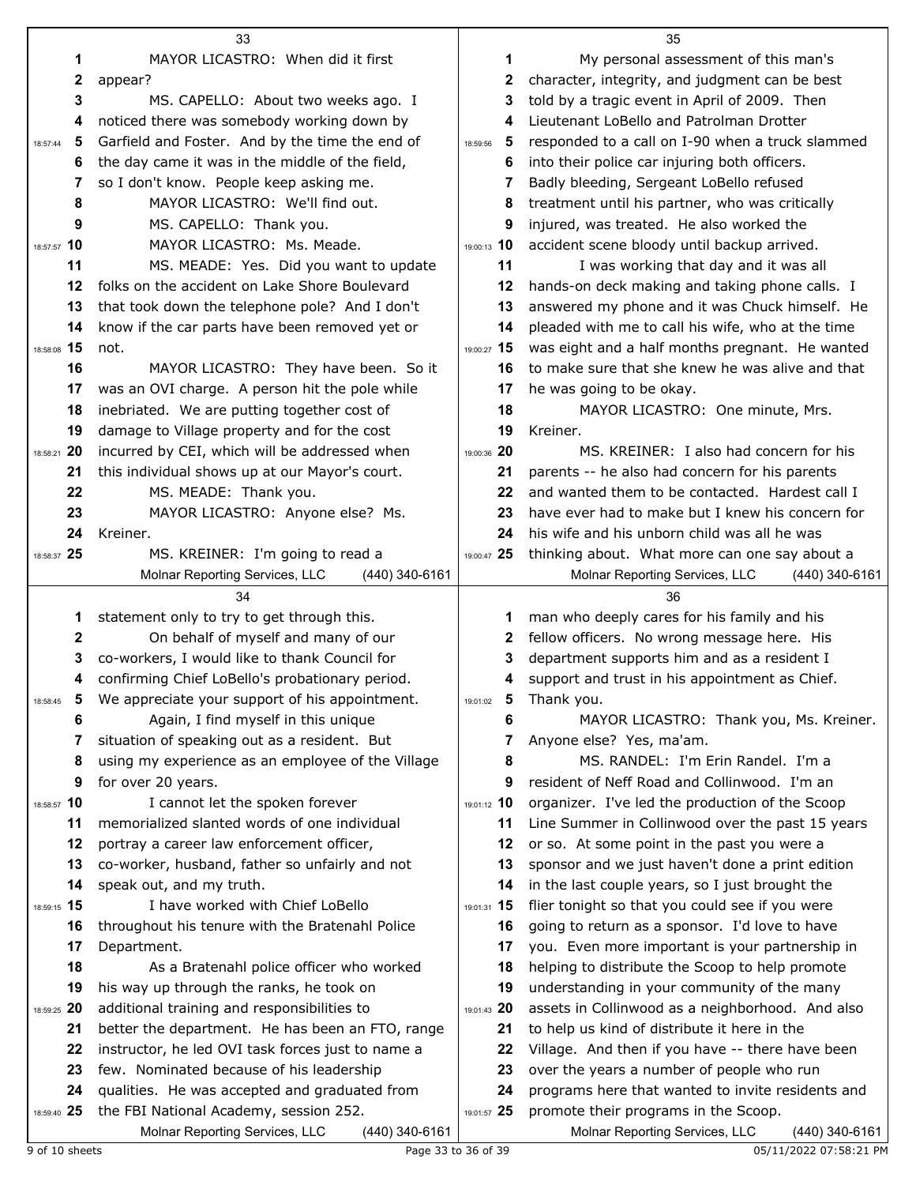|               | 33                                                                                         |               | 35                                                                                       |
|---------------|--------------------------------------------------------------------------------------------|---------------|------------------------------------------------------------------------------------------|
| 1             | MAYOR LICASTRO: When did it first                                                          | 1             | My personal assessment of this man's                                                     |
| 2             | appear?                                                                                    | 2             | character, integrity, and judgment can be best                                           |
| 3             | MS. CAPELLO: About two weeks ago. I                                                        | 3             | told by a tragic event in April of 2009. Then                                            |
| 4             | noticed there was somebody working down by                                                 | 4             | Lieutenant LoBello and Patrolman Drotter                                                 |
| 5<br>18:57:44 | Garfield and Foster. And by the time the end of                                            | 5<br>18:59:56 | responded to a call on I-90 when a truck slammed                                         |
| 6             | the day came it was in the middle of the field,                                            | 6             | into their police car injuring both officers.                                            |
| 7             | so I don't know. People keep asking me.                                                    | 7             | Badly bleeding, Sergeant LoBello refused                                                 |
| 8             | MAYOR LICASTRO: We'll find out.                                                            | 8             | treatment until his partner, who was critically                                          |
| 9             | MS. CAPELLO: Thank you.                                                                    | 9             | injured, was treated. He also worked the                                                 |
| 18:57:57 10   | MAYOR LICASTRO: Ms. Meade.                                                                 | 19:00:13 10   | accident scene bloody until backup arrived.                                              |
| 11            | MS. MEADE: Yes. Did you want to update                                                     | 11            | I was working that day and it was all                                                    |
| 12            | folks on the accident on Lake Shore Boulevard                                              | 12            | hands-on deck making and taking phone calls. I                                           |
| 13            | that took down the telephone pole? And I don't                                             | 13            | answered my phone and it was Chuck himself. He                                           |
| 14            | know if the car parts have been removed yet or                                             | 14            | pleaded with me to call his wife, who at the time                                        |
| 18:58:08 15   | not.                                                                                       | 19:00:27 15   | was eight and a half months pregnant. He wanted                                          |
| 16            | MAYOR LICASTRO: They have been. So it                                                      | 16            | to make sure that she knew he was alive and that                                         |
| 17            | was an OVI charge. A person hit the pole while                                             | 17            | he was going to be okay.                                                                 |
| 18            | inebriated. We are putting together cost of                                                | 18            | MAYOR LICASTRO: One minute, Mrs.                                                         |
| 19            | damage to Village property and for the cost                                                | 19            | Kreiner.                                                                                 |
| 18:58:21 20   | incurred by CEI, which will be addressed when                                              | 19:00:36 20   | MS. KREINER: I also had concern for his                                                  |
| 21            | this individual shows up at our Mayor's court.                                             | 21            | parents -- he also had concern for his parents                                           |
| 22            | MS. MEADE: Thank you.                                                                      | 22            | and wanted them to be contacted. Hardest call I                                          |
| 23            | MAYOR LICASTRO: Anyone else? Ms.                                                           | 23            | have ever had to make but I knew his concern for                                         |
| 24            | Kreiner.                                                                                   | 24            | his wife and his unborn child was all he was                                             |
| 18:58:37 25   | MS. KREINER: I'm going to read a                                                           | 19:00:47 25   | thinking about. What more can one say about a                                            |
|               | Molnar Reporting Services, LLC<br>(440) 340-6161                                           |               | Molnar Reporting Services, LLC<br>(440) 340-6161                                         |
|               | 34                                                                                         |               |                                                                                          |
|               |                                                                                            |               | 36                                                                                       |
| 1             | statement only to try to get through this.                                                 | 1             | man who deeply cares for his family and his                                              |
| 2             | On behalf of myself and many of our                                                        | 2             | fellow officers. No wrong message here. His                                              |
| 3             | co-workers, I would like to thank Council for                                              | 3             | department supports him and as a resident I                                              |
| 4             | confirming Chief LoBello's probationary period.                                            | 4             | support and trust in his appointment as Chief.                                           |
| 18:58:45      | We appreciate your support of his appointment.                                             | $19:01:02$ 5  | Thank you.                                                                               |
| 6             | Again, I find myself in this unique                                                        | 6             | MAYOR LICASTRO: Thank you, Ms. Kreiner.                                                  |
| 7             | situation of speaking out as a resident. But                                               | 7             | Anyone else? Yes, ma'am.                                                                 |
| 8             | using my experience as an employee of the Village                                          | 8             | MS. RANDEL: I'm Erin Randel. I'm a                                                       |
| 9             | for over 20 years.                                                                         | 9             | resident of Neff Road and Collinwood. I'm an                                             |
| 18:58:57 10   | I cannot let the spoken forever                                                            | 19:01:12 10   | organizer. I've led the production of the Scoop                                          |
| 11            | memorialized slanted words of one individual                                               | 11            | Line Summer in Collinwood over the past 15 years                                         |
| 12            | portray a career law enforcement officer,                                                  | 12            | or so. At some point in the past you were a                                              |
| 13            | co-worker, husband, father so unfairly and not                                             | 13            | sponsor and we just haven't done a print edition                                         |
| 14            | speak out, and my truth.                                                                   | 14            | in the last couple years, so I just brought the                                          |
| 18:59:15 15   | I have worked with Chief LoBello                                                           | 19:01:31 15   | flier tonight so that you could see if you were                                          |
| 16            | throughout his tenure with the Bratenahl Police                                            | 16            | going to return as a sponsor. I'd love to have                                           |
| 17            | Department.                                                                                | 17            | you. Even more important is your partnership in                                          |
| 18            | As a Bratenahl police officer who worked                                                   | 18            | helping to distribute the Scoop to help promote                                          |
| 19            | his way up through the ranks, he took on                                                   | 19            | understanding in your community of the many                                              |
| 18:59:25 20   | additional training and responsibilities to                                                | 19:01:43 20   | assets in Collinwood as a neighborhood. And also                                         |
| 21            | better the department. He has been an FTO, range                                           | 21            | to help us kind of distribute it here in the                                             |
| 22            | instructor, he led OVI task forces just to name a                                          | 22            | Village. And then if you have -- there have been                                         |
| 23            | few. Nominated because of his leadership                                                   | 23            | over the years a number of people who run                                                |
| 24            | qualities. He was accepted and graduated from                                              | 24            | programs here that wanted to invite residents and                                        |
| 18:59:40 25   | the FBI National Academy, session 252.<br>Molnar Reporting Services, LLC<br>(440) 340-6161 | 19:01:57 25   | promote their programs in the Scoop.<br>Molnar Reporting Services, LLC<br>(440) 340-6161 |